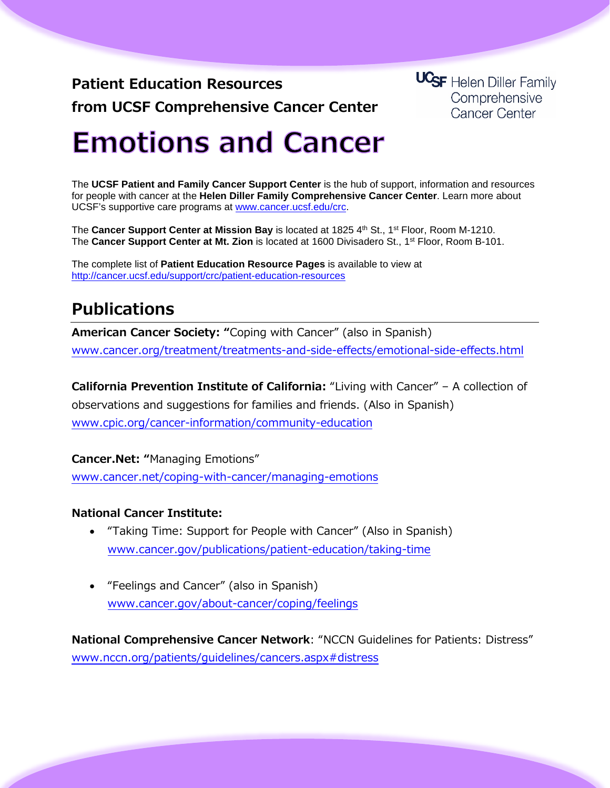**Patient Education Resources from UCSF Comprehensive Cancer Center** **UCSF** Helen Diller Family Comprehensive **Cancer Center** 

# **Emotions and Cancer**

The **UCSF Patient and Family Cancer Support Center** is the hub of support, information and resources for people with cancer at the **Helen Diller Family Comprehensive Cancer Center**. Learn more about UCSF's supportive care programs at [www.cancer.ucsf.edu/crc.](http://www.cancer.ucsf.edu/crc)

The Cancer Support Center at Mission Bay is located at 1825 4<sup>th</sup> St., 1<sup>st</sup> Floor, Room M-1210. The **Cancer Support Center at Mt. Zion** is located at 1600 Divisadero St., 1st Floor, Room B-101.

The complete list of **Patient Education Resource Pages** is available to view at <http://cancer.ucsf.edu/support/crc/patient-education-resources>

## **Publications**

**American Cancer Society: "**Coping with Cancer" (also in Spanish) [www.cancer.org/treatment/treatments-and-side-effects/emotional-side-effects.html](http://www.cancer.org/treatment/treatments-and-side-effects/emotional-side-effects.html)

**California Prevention Institute of California:** "Living with Cancer" – A collection of observations and suggestions for families and friends. (Also in Spanish) [www.cpic.org/cancer-information/community-education](http://www.cpic.org/cancer-information/community-education)

**Cancer.Net: "**Managing Emotions"

[www.cancer.net/coping-with-cancer/managing-emotions](http://www.cancer.net/coping-with-cancer/managing-emotions)

### **National Cancer Institute:**

- "Taking Time: Support for People with Cancer" (Also in Spanish) [www.cancer.gov/publications/patient-education/taking-time](http://www.cancer.gov/publications/patient-education/taking-time)
- "Feelings and Cancer" (also in Spanish) [www.cancer.gov/about-cancer/coping/feelings](http://www.cancer.gov/about-cancer/coping/feelings)

**National Comprehensive Cancer Network**: "NCCN Guidelines for Patients: Distress" [www.nccn.org/patients/guidelines/cancers.aspx#distress](http://www.nccn.org/patients/guidelines/cancers.aspx#distress)